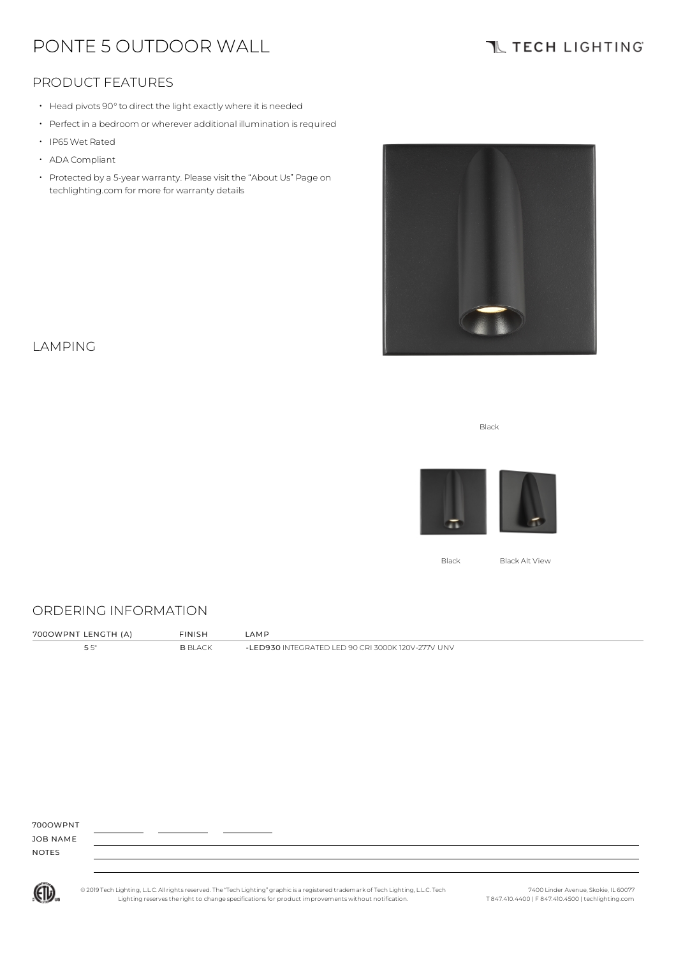# PONTE 5 OUTDOOR WALL

# **TL TECH LIGHTING**

### PRODUCT FEATURES

- Head pivots 90°to direct the light exactly where it is needed
- Perfect in a bedroom or wherever additional illumination is required
- IP65Wet Rated
- ADA Compliant
- Protected by a 5-year warranty. Please visit the "About Us" Page on techlighting.com for more for warranty details



### LAMPING

Black



Black Black Alt View

#### ORDERING INFORMATION

| 7000WPNT LENGTH (A) | <b>FINISH</b> | _AM P                                           |
|---------------------|---------------|-------------------------------------------------|
|                     | R RI ACK      | LED930 INTEGRATED LED 90 CRL3000K 120V-277V UNV |

700OWPNT

JOB NAME NOTES



© 2019 Tech Lighting, L.L.C. All rightsreserved. The "Tech Lighting" graphicis a registered trademark of Tech Lighting, L.L.C. Tech Lighting reservesthe right to change specificationsfor product improvements without notification.

7400 Linder Avenue, Skokie, IL 60077 T 847.410.4400 | F 847.410.4500 | techlighting.com